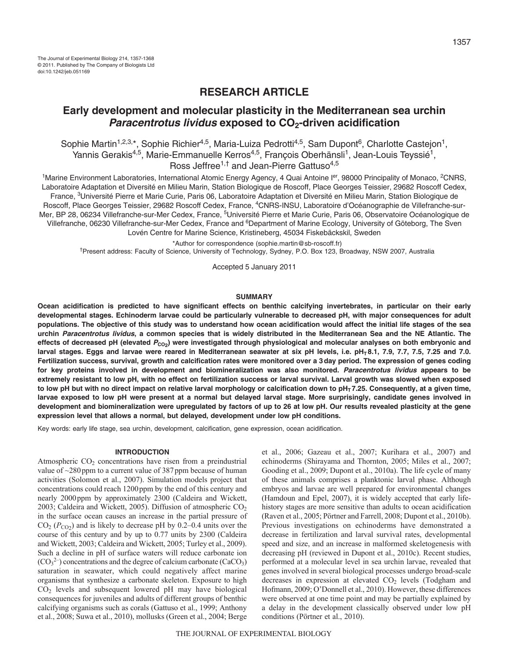# **Early development and molecular plasticity in the Mediterranean sea urchin Paracentrotus lividus exposed to CO<sub>2</sub>-driven acidification**

Sophie Martin<sup>1,2,3,\*</sup>, Sophie Richier<sup>4,5</sup>, Maria-Luiza Pedrotti<sup>4,5</sup>, Sam Dupont<sup>6</sup>, Charlotte Castejon<sup>1</sup>, Yannis Gerakis<sup>4,5</sup>, Marie-Emmanuelle Kerros<sup>4,5</sup>, François Oberhänsli<sup>1</sup>, Jean-Louis Teyssié<sup>1</sup>, Ross Jeffree<sup>1,†</sup> and Jean-Pierre Gattuso<sup>4,5</sup>

<sup>1</sup>Marine Environment Laboratories, International Atomic Energy Agency, 4 Quai Antoine I<sup>er</sup>, 98000 Principality of Monaco, <sup>2</sup>CNRS, Laboratoire Adaptation et Diversité en Milieu Marin, Station Biologique de Roscoff, Place Georges Teissier, 29682 Roscoff Cedex, France, <sup>3</sup>Université Pierre et Marie Curie, Paris 06, Laboratoire Adaptation et Diversité en Milieu Marin, Station Biologique de Roscoff, Place Georges Teissier, 29682 Roscoff Cedex, France, <sup>4</sup>CNRS-INSU, Laboratoire d'Océanographie de Villefranche-sur-Mer, BP 28, 06234 Villefranche-sur-Mer Cedex, France, <sup>5</sup>Université Pierre et Marie Curie, Paris 06, Observatoire Océanologique de Villefranche, 06230 Villefranche-sur-Mer Cedex, France and <sup>6</sup>Department of Marine Ecology, University of Göteborg, The Sven Lovén Centre for Marine Science, Kristineberg, 45034 Fiskebäckskil, Sweden

\*Author for correspondence (sophie.martin@sb-roscoff.fr)

†Present address: Faculty of Science, University of Technology, Sydney, P.O. Box 123, Broadway, NSW 2007, Australia

Accepted 5 January 2011

#### **SUMMARY**

**Ocean acidification is predicted to have significant effects on benthic calcifying invertebrates, in particular on their early developmental stages. Echinoderm larvae could be particularly vulnerable to decreased pH, with major consequences for adult populations. The objective of this study was to understand how ocean acidification would affect the initial life stages of the sea urchin Paracentrotus lividus, a common species that is widely distributed in the Mediterranean Sea and the NE Atlantic. The** effects of decreased pH (elevated P<sub>CO2</sub>) were investigated through physiological and molecular analyses on both embryonic and larval stages. Eggs and larvae were reared in Mediterranean seawater at six pH levels, i.e. pH<sub>T</sub> 8.1, 7.9, 7.7, 7.5, 7.25 and 7.0. **Fertilization success, survival, growth and calcification rates were monitored over a 3day period. The expression of genes coding for key proteins involved in development and biomineralization was also monitored. Paracentrotus lividus appears to be extremely resistant to low pH, with no effect on fertilization success or larval survival. Larval growth was slowed when exposed** to low pH but with no direct impact on relative larval morphology or calcification down to pH<sub>T</sub>7.25. Consequently, at a given time, **larvae exposed to low pH were present at a normal but delayed larval stage. More surprisingly, candidate genes involved in development and biomineralization were upregulated by factors of up to 26 at low pH. Our results revealed plasticity at the gene expression level that allows a normal, but delayed, development under low pH conditions.**

Key words: early life stage, sea urchin, development, calcification, gene expression, ocean acidification.

### **INTRODUCTION**

Atmospheric  $CO<sub>2</sub>$  concentrations have risen from a preindustrial value of  $\sim$ 280 ppm to a current value of 387 ppm because of human activities (Solomon et al., 2007). Simulation models project that concentrations could reach 1200 ppm by the end of this century and nearly 2000ppm by approximately 2300 (Caldeira and Wickett, 2003; Caldeira and Wickett, 2005). Diffusion of atmospheric  $CO<sub>2</sub>$ in the surface ocean causes an increase in the partial pressure of  $CO<sub>2</sub> (P<sub>CO<sub>2</sub>)</sub>$  and is likely to decrease pH by 0.2–0.4 units over the course of this century and by up to 0.77 units by 2300 (Caldeira and Wickett, 2003; Caldeira and Wickett, 2005; Turley et al., 2009). Such a decline in pH of surface waters will reduce carbonate ion  $(CO<sub>3</sub><sup>2–</sup>)$  concentrations and the degree of calcium carbonate (CaCO<sub>3</sub>) saturation in seawater, which could negatively affect marine organisms that synthesize a carbonate skeleton. Exposure to high  $CO<sub>2</sub>$  levels and subsequent lowered pH may have biological consequences for juveniles and adults of different groups of benthic calcifying organisms such as corals (Gattuso et al., 1999; Anthony et al., 2008; Suwa et al., 2010), mollusks (Green et al., 2004; Berge et al., 2006; Gazeau et al., 2007; Kurihara et al., 2007) and echinoderms (Shirayama and Thornton, 2005; Miles et al., 2007; Gooding et al., 2009; Dupont et al., 2010a). The life cycle of many of these animals comprises a planktonic larval phase. Although embryos and larvae are well prepared for environmental changes (Hamdoun and Epel, 2007), it is widely accepted that early lifehistory stages are more sensitive than adults to ocean acidification (Raven et al., 2005; Pörtner and Farrell, 2008; Dupont et al., 2010b). Previous investigations on echinoderms have demonstrated a decrease in fertilization and larval survival rates, developmental speed and size, and an increase in malformed skeletogenesis with decreasing pH (reviewed in Dupont et al., 2010c). Recent studies, performed at a molecular level in sea urchin larvae, revealed that genes involved in several biological processes undergo broad-scale decreases in expression at elevated CO<sub>2</sub> levels (Todgham and Hofmann, 2009; O'Donnell et al., 2010). However, these differences were observed at one time point and may be partially explained by a delay in the development classically observed under low pH conditions (Pörtner et al., 2010).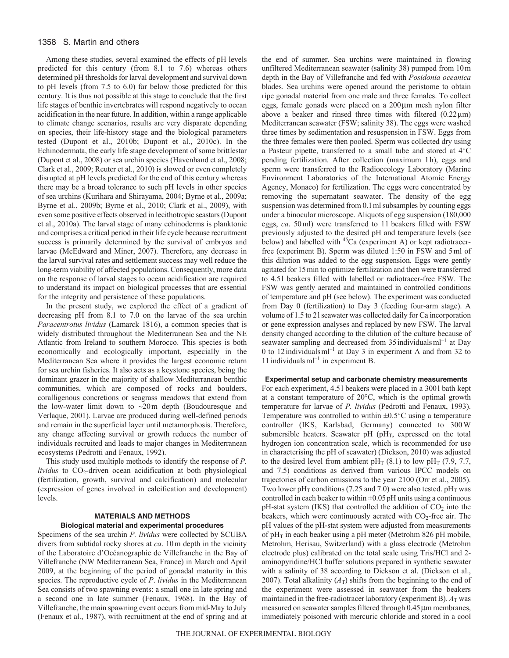# 1358 S. Martin and others

Among these studies, several examined the effects of pH levels predicted for this century (from 8.1 to 7.6) whereas others determined pH thresholds for larval development and survival down to pH levels (from 7.5 to 6.0) far below those predicted for this century. It is thus not possible at this stage to conclude that the first life stages of benthic invertebrates will respond negatively to ocean acidification in the near future. In addition, within a range applicable to climate change scenarios, results are very disparate depending on species, their life-history stage and the biological parameters tested (Dupont et al., 2010b; Dupont et al., 2010c). In the Echinodermata, the early life stage development of some brittlestar (Dupont et al., 2008) or sea urchin species (Havenhand et al., 2008; Clark et al., 2009; Reuter et al., 2010) is slowed or even completely disrupted at pH levels predicted for the end of this century whereas there may be a broad tolerance to such pH levels in other species of sea urchins (Kurihara and Shirayama, 2004; Byrne et al., 2009a; Byrne et al., 2009b; Byrne et al., 2010; Clark et al., 2009), with even some positive effects observed in lecithotropic seastars (Dupont et al., 2010a). The larval stage of many echinoderms is planktonic and comprises a critical period in their life cycle because recruitment success is primarily determined by the survival of embryos and larvae (McEdward and Miner, 2007). Therefore, any decrease in the larval survival rates and settlement success may well reduce the long-term viability of affected populations. Consequently, more data on the response of larval stages to ocean acidification are required to understand its impact on biological processes that are essential for the integrity and persistence of these populations.

In the present study, we explored the effect of a gradient of decreasing pH from 8.1 to 7.0 on the larvae of the sea urchin *Paracentrotus lividus* (Lamarck 1816), a common species that is widely distributed throughout the Mediterranean Sea and the NE Atlantic from Ireland to southern Morocco. This species is both economically and ecologically important, especially in the Mediterranean Sea where it provides the largest economic return for sea urchin fisheries. It also acts as a keystone species, being the dominant grazer in the majority of shallow Mediterranean benthic communities, which are composed of rocks and boulders, coralligenous concretions or seagrass meadows that extend from the low-water limit down to ~20m depth (Boudouresque and Verlaque, 2001). Larvae are produced during well-defined periods and remain in the superficial layer until metamorphosis. Therefore, any change affecting survival or growth reduces the number of individuals recruited and leads to major changes in Mediterranean ecosystems (Pedrotti and Fenaux, 1992).

This study used multiple methods to identify the response of *P. lividus* to CO<sub>2</sub>-driven ocean acidification at both physiological (fertilization, growth, survival and calcification) and molecular (expression of genes involved in calcification and development) levels.

# **MATERIALS AND METHODS Biological material and experimental procedures**

Specimens of the sea urchin *P. lividus* were collected by SCUBA divers from subtidal rocky shores at *ca*. 10m depth in the vicinity of the Laboratoire d'Océanographie de Villefranche in the Bay of Villefranche (NW Mediterranean Sea, France) in March and April 2009, at the beginning of the period of gonadal maturity in this species. The reproductive cycle of *P*. *lividus* in the Mediterranean Sea consists of two spawning events: a small one in late spring and a second one in late summer (Fenaux, 1968). In the Bay of Villefranche, the main spawning event occurs from mid-May to July (Fenaux et al., 1987), with recruitment at the end of spring and at

the end of summer. Sea urchins were maintained in flowing unfiltered Mediterranean seawater (salinity 38) pumped from 10m depth in the Bay of Villefranche and fed with *Posidonia oceanica* blades. Sea urchins were opened around the peristome to obtain ripe gonadal material from one male and three females. To collect eggs, female gonads were placed on a  $200 \mu m$  mesh nylon filter above a beaker and rinsed three times with filtered  $(0.22 \,\mu m)$ Mediterranean seawater (FSW; salinity 38). The eggs were washed three times by sedimentation and resuspension in FSW. Eggs from the three females were then pooled. Sperm was collected dry using a Pasteur pipette, transferred to a small tube and stored at 4°C pending fertilization. After collection (maximum 1h), eggs and sperm were transferred to the Radioecology Laboratory (Marine Environment Laboratories of the International Atomic Energy Agency, Monaco) for fertilization. The eggs were concentrated by removing the supernatant seawater. The density of the egg suspension was determined from 0.1 ml subsamples by counting eggs under a binocular microscope. Aliquots of egg suspension (180,000 eggs, *ca*. 50ml) were transferred to 1l beakers filled with FSW previously adjusted to the desired pH and temperature levels (see below) and labelled with <sup>45</sup>Ca (experiment A) or kept radiotracerfree (experiment B). Sperm was diluted 1:50 in FSW and 5ml of this dilution was added to the egg suspension. Eggs were gently agitated for 15min to optimize fertilization and then were transferred to 4.5l beakers filled with labelled or radiotracer-free FSW. The FSW was gently aerated and maintained in controlled conditions of temperature and pH (see below). The experiment was conducted from Day 0 (fertilization) to Day 3 (feeding four-arm stage). A volume of 1.5 to 2l seawater was collected daily for Ca incorporation or gene expression analyses and replaced by new FSW. The larval density changed according to the dilution of the culture because of seawater sampling and decreased from  $35$  individuals m $l^{-1}$  at Day 0 to 12individualsml–1 at Day 3 in experiment A and from 32 to 11 individuals  $ml^{-1}$  in experiment B.

# **Experimental setup and carbonate chemistry measurements**

For each experiment, 4.5l beakers were placed in a 300l bath kept at a constant temperature of 20°C, which is the optimal growth temperature for larvae of *P. lividus* (Pedrotti and Fenaux, 1993). Temperature was controlled to within  $\pm 0.5^{\circ}$ C using a temperature controller (IKS, Karlsbad, Germany) connected to 300W submersible heaters. Seawater pH ( $pH_T$ , expressed on the total hydrogen ion concentration scale, which is recommended for use in characterising the pH of seawater) (Dickson, 2010) was adjusted to the desired level from ambient pH<sub>T</sub> (8.1) to low pH<sub>T</sub> (7.9, 7.7, and 7.5) conditions as derived from various IPCC models on trajectories of carbon emissions to the year 2100 (Orr et al., 2005). Two lower pH<sub>T</sub> conditions (7.25 and 7.0) were also tested. pH<sub>T</sub> was controlled in each beaker to within  $\pm 0.05$  pH units using a continuous  $pH$ -stat system (IKS) that controlled the addition of  $CO<sub>2</sub>$  into the beakers, which were continuously aerated with  $CO<sub>2</sub>$ -free air. The pH values of the pH-stat system were adjusted from measurements of  $pH_T$  in each beaker using a pH meter (Metrohm 826 pH mobile, Metrohm, Herisau, Switzerland) with a glass electrode (Metrohm electrode plus) calibrated on the total scale using Tris/HCl and 2 aminopyridine/HCl buffer solutions prepared in synthetic seawater with a salinity of 38 according to Dickson et al. (Dickson et al., 2007). Total alkalinity  $(A_T)$  shifts from the beginning to the end of the experiment were assessed in seawater from the beakers maintained in the free-radiotracer laboratory (experiment B).  $A_T$  was measured on seawater samples filtered through 0.45 µm membranes, immediately poisoned with mercuric chloride and stored in a cool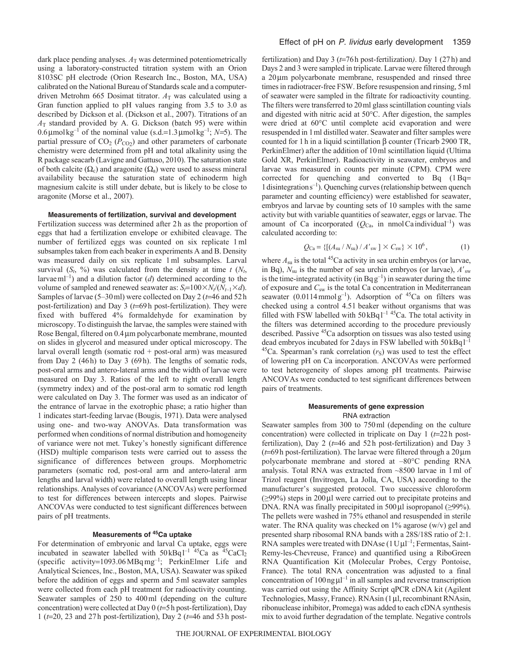dark place pending analyses.  $A<sub>T</sub>$  was determined potentiometrically using a laboratory-constructed titration system with an Orion 8103SC pH electrode (Orion Research Inc., Boston, MA, USA) calibrated on the National Bureau of Standards scale and a computerdriven Metrohm 665 Dosimat titrator.  $A_T$  was calculated using a Gran function applied to pH values ranging from 3.5 to 3.0 as described by Dickson et al. (Dickson et al., 2007). Titrations of an *A*<sup>T</sup> standard provided by A. G. Dickson (batch 95) were within  $0.6 \mu$ molkg<sup>-1</sup> of the nominal value (s.d.=1.3 $\mu$ molkg<sup>-1</sup>; *N*=5). The partial pressure of  $CO<sub>2</sub>$  ( $P<sub>CO<sub>2</sub></sub>$ ) and other parameters of carbonate chemistry were determined from pH and total alkalinity using the R package seacarb (Lavigne and Gattuso, 2010). The saturation state of both calcite  $(\Omega_c)$  and aragonite  $(\Omega_a)$  were used to assess mineral availability because the saturation state of echinoderm high magnesium calcite is still under debate, but is likely to be close to aragonite (Morse et al., 2007).

## **Measurements of fertilization, survival and development**

Fertilization success was determined after 2h as the proportion of eggs that had a fertilization envelope or exhibited cleavage. The number of fertilized eggs was counted on six replicate 1ml subsamples taken from each beaker in experiments A and B. Density was measured daily on six replicate 1ml subsamples. Larval survival  $(S_t, \%)$  was calculated from the density at time *t*  $(N_t, \%)$ larvae m $1^{-1}$ ) and a dilution factor (*d*) determined according to the volume of sampled and renewed seawater as:  $S_f = 100 \times N_t/(N_{t-1} \times d)$ . Samples of larvae (5–30 ml) were collected on Day 2 ( $t=46$  and 52 h post-fertilization) and Day  $3$  ( $t=69h$  post-fertilization). They were fixed with buffered 4% formaldehyde for examination by microscopy. To distinguish the larvae, the samples were stained with Rose Bengal, filtered on 0.4 µm polycarbonate membrane, mounted on slides in glycerol and measured under optical microscopy. The larval overall length (somatic rod + post-oral arm) was measured from Day 2 (46h) to Day 3 (69h). The lengths of somatic rods, post-oral arms and antero-lateral arms and the width of larvae were measured on Day 3. Ratios of the left to right overall length (symmetry index) and of the post-oral arm to somatic rod length were calculated on Day 3. The former was used as an indicator of the entrance of larvae in the exotrophic phase; a ratio higher than 1 indicates start-feeding larvae (Bougis, 1971). Data were analysed using one- and two-way ANOVAs. Data transformation was performed when conditions of normal distribution and homogeneity of variance were not met. Tukey's honestly significant difference (HSD) multiple comparison tests were carried out to assess the significance of differences between groups. Morphometric parameters (somatic rod, post-oral arm and antero-lateral arm lengths and larval width) were related to overall length using linear relationships. Analyses of covariance (ANCOVAs) were performed to test for differences between intercepts and slopes. Pairwise ANCOVAs were conducted to test significant differences between pairs of pH treatments.

# **Measurements of 45Ca uptake**

For determination of embryonic and larval Ca uptake, eggs were incubated in seawater labelled with  $50kBq^{1}$ <sup>45</sup>Ca as  $45CaCl<sub>2</sub>$ (specific activity=1093.06 $MBqmg^{-1}$ ; PerkinElmer Life and Analytical Sciences, Inc., Boston, MA, USA). Seawater was spiked before the addition of eggs and sperm and 5ml seawater samples were collected from each pH treatment for radioactivity counting. Seawater samples of 250 to 400ml (depending on the culture concentration) were collected at Day  $0$  ( $t=5$ h post-fertilization), Day 1 ( $t=20$ , 23 and 27h post-fertilization), Day 2 ( $t=46$  and 53h postfertilization) and Day 3 ( $t=76$ h post-fertilization). Day 1 (27h) and Days 2 and 3 were sampled in triplicate. Larvae were filtered through a  $20 \mu m$  polycarbonate membrane, resuspended and rinsed three times in radiotracer-free FSW. Before resuspension and rinsing, 5ml of seawater were sampled in the filtrate for radioactivity counting. The filters were transferred to 20ml glass scintillation counting vials and digested with nitric acid at 50°C. After digestion, the samples were dried at 60°C until complete acid evaporation and were resuspended in 1ml distilled water. Seawater and filter samples were counted for 1 h in a liquid scintillation  $\beta$  counter (Tricarb 2900 TR, PerkinElmer) after the addition of 10ml scintillation liquid (Ultima Gold XR, PerkinElmer). Radioactivity in seawater, embryos and larvae was measured in counts per minute (CPM). CPM were corrected for quenching and converted to Bq (1Bq 1disintegrations –1). Quenching curves (relationship between quench parameter and counting efficiency) were established for seawater, embryos and larvae by counting sets of 10 samples with the same activity but with variable quantities of seawater, eggs or larvae. The amount of Ca incorporated  $(Q_{Ca}$ , in nmolCa individual<sup>-1</sup>) was calculated according to:

$$
Q_{\text{Ca}} = \{ [(A_{\text{su}} / N_{\text{su}}) / A'_{\text{sw}}] \times C_{\text{sw}} \} \times 10^6, \tag{1}
$$

where  $A_{\rm su}$  is the total <sup>45</sup>Ca activity in sea urchin embryos (or larvae, in Bq),  $N_{\text{su}}$  is the number of sea urchin embryos (or larvae),  $A'_{\text{sw}}$ is the time-integrated activity (in  $Bqg^{-1}$ ) in seawater during the time of exposure and *C*sw is the total Ca concentration in Mediterranean seawater (0.0114 mmol g<sup>-1</sup>). Adsorption of <sup>45</sup>Ca on filters was checked using a control 4.5l beaker without organisms that was filled with FSW labelled with  $50kBq$ <sup> $-1 45$ </sup>Ca. The total activity in the filters was determined according to the procedure previously described. Passive 45Ca adsorption on tissues was also tested using dead embryos incubated for 2 days in FSW labelled with  $50 \text{ kBq}$  $1^{-1}$  $^{45}Ca$ . Spearman's rank correlation  $(r<sub>S</sub>)$  was used to test the effect of lowering pH on Ca incorporation. ANCOVAs were performed to test heterogeneity of slopes among pH treatments. Pairwise ANCOVAs were conducted to test significant differences between pairs of treatments.

## **Measurements of gene expression** RNA extraction

Seawater samples from 300 to 750ml (depending on the culture concentration) were collected in triplicate on Day  $1$  ( $t=22$ h postfertilization), Day 2  $(t=46$  and 52h post-fertilization) and Day 3 ( $t$ =69h post-fertilization). The larvae were filtered through a  $20 \mu m$ polycarbonate membrane and stored at –80°C pending RNA analysis. Total RNA was extracted from ~8500 larvae in 1ml of Trizol reagent (Invitrogen, La Jolla, CA, USA) according to the manufacturer's suggested protocol. Two successive chloroform  $(\geq 99\%)$  steps in 200 µl were carried out to precipitate proteins and DNA. RNA was finally precipitated in 500 $\mu$ l isopropanol (≥99%). The pellets were washed in 75% ethanol and resuspended in sterile water. The RNA quality was checked on 1% agarose (w/v) gel and presented sharp ribosomal RNA bands with a 28S/18S ratio of 2:1. RNA samples were treated with DNAse  $(1 \text{ U } \mu l^{-1})$ ; Fermentas, Saint-Remy-les-Chevreuse, France) and quantified using a RiboGreen RNA Quantification Kit (Molecular Probes, Cergy Pontoise, France). The total RNA concentration was adjusted to a final concentration of  $100 \text{ ng }\mu^{-1}$  in all samples and reverse transcription was carried out using the Affinity Script qPCR cDNA kit (Agilent Technologies, Massy, France).  $RNAsin(1 \mu l, recombinationt RNAsin,$ ribonuclease inhibitor, Promega) was added to each cDNA synthesis mix to avoid further degradation of the template. Negative controls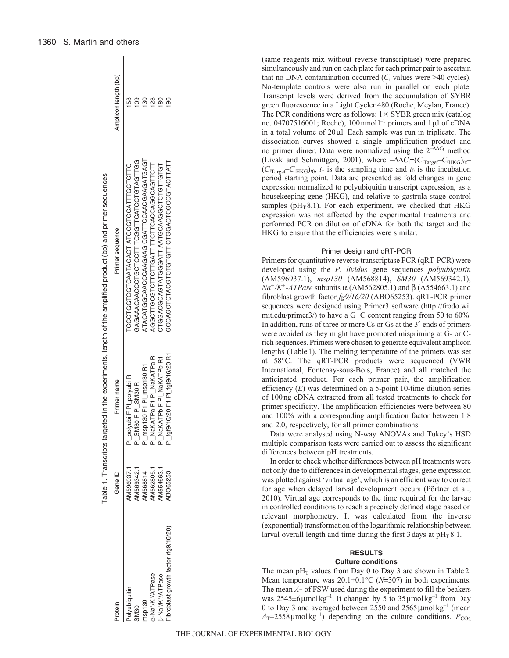|                                          | Table 1. Transcripts targete |                                           | ed in the experiments, length of the amplified product (bp) and primer sequences |                      |
|------------------------------------------|------------------------------|-------------------------------------------|----------------------------------------------------------------------------------|----------------------|
| <b>hotein</b>                            | Gene ID                      | Primer name                               | Primer sequence                                                                  | Amplicon length (bp) |
| olyubiquitin                             | M596937.1                    | PI_polyubi F PI_polyubi R                 | rCGTGGTGGTGGATAGAT ATGGTGCATTTGCHTG                                              | 58                   |
| M30                                      | M569342.1                    | $P$ <sub>L</sub> SM30 F PI_SM30 R         | GAAACAACCCTGCTT TCGTTCATCCTGTAGTTGG                                              |                      |
| nsp130                                   | M568814                      | $N_{\perp}$ msp130 F1 P $\perp$ msp130 R1 | ATACATGGCAACCCAAGAAGOOOAACOOOAACGTAAGATGAA                                       |                      |
| «Na <sup>+</sup> /K <sup>+</sup> /ATPase | M562805.                     | 'LNaKATPa F1 PLNaKATPa R                  | AGGCTTGCGTCTTGATT TTCTTCACCAGGCAGTTCTT                                           |                      |
| -Na <sup>+</sup> /K <sup>+</sup> /ATPase | M554663.                     | I_NaKATPb F PI_NaKATPb R1                 | LOLOLOLOUOUS SOULS LITTUS OULS LOTOUS OUN                                        | $\frac{80}{2}$       |
| ibroblast growth factor (fg9/16/20)      | <b>BO65253</b>               | $L$ fgf9/16/20 F1 Pl_fgf9/16/20 R1        | GCAGCTOCOOCOOLOTGIOLOTOOKACTOTACTATT                                             |                      |

(same reagents mix without reverse transcriptase) were prepared simultaneously and run on each plate for each primer pair to ascertain that no DNA contamination occurred  $(C_t$  values were >40 cycles). No-template controls were also run in parallel on each plate. Transcript levels were derived from the accumulation of SYBR green fluorescence in a Light Cycler 480 (Roche, Meylan, France). The PCR conditions were as follows:  $1 \times$  SYBR green mix (catalog no. 04707516001; Roche),  $100$  nmol  $l^{-1}$  primers and  $1 \mu l$  of cDNA in a total volume of  $20 \mu$ . Each sample was run in triplicate. The dissociation curves showed a single amplification product and no primer dimer. Data were normalized using the  $2^{-\Delta\Delta C_t}$  method (Livak and Schmittgen, 2001), where  $-\Delta \Delta C_f = (C_{t_{\text{Target}}} - C_{t_{\text{HKG}}})_{t_x}$  $(C_{\text{target}}-C_{\text{tHKG}})_{t_0}$ ,  $t_x$  is the sampling time and  $t_0$  is the incubation period starting point. Data are presented as fold changes in gene expression normalized to polyubiquitin transcript expression, as a housekeeping gene (HKG), and relative to gastrula stage control samples ( $pH_T8.1$ ). For each experiment, we checked that HKG expression was not affected by the experimental treatments and performed PCR on dilution of cDNA for both the target and the HKG to ensure that the efficiencies were similar.

### Primer design and qRT-PCR

Primers for quantitative reverse transcriptase PCR (qRT-PCR) were developed using the *P. lividus* gene sequences *polyubiquitin* (AM596937.1), *msp130* (AM568814), *SM30* (AM569342.1),  $Na^+/K^+$ -*ATPase* subunits  $\alpha$  (AM562805.1) and  $\beta$  (A554663.1) and fibroblast growth factor *fg9/16/20* (ABO65253). qRT-PCR primer sequences were designed using Primer3 software (http://frodo.wi. mit.edu/primer3/) to have a G+C content ranging from 50 to 60%. In addition, runs of three or more Cs or Gs at the 3'-ends of primers were avoided as they might have promoted mispriming at G- or Crich sequences. Primers were chosen to generate equivalent amplicon lengths (Table1). The melting temperature of the primers was set at 58°C. The qRT-PCR products were sequenced (VWR International, Fontenay-sous-Bois, France) and all matched the anticipated product. For each primer pair, the amplification efficiency (*E*) was determined on a 5-point 10-time dilution series of 100ng cDNA extracted from all tested treatments to check for primer specificity. The amplification efficiencies were between 80 and 100% with a corresponding amplification factor between 1.8 and 2.0, respectively, for all primer combinations.

Data were analysed using N-way ANOVAs and Tukey's HSD multiple comparison tests were carried out to assess the significant differences between pH treatments.

In order to check whether differences between pH treatments were not only due to differences in developmental stages, gene expression was plotted against 'virtual age', which is an efficient way to correct for age when delayed larval development occurs (Pörtner et al., 2010). Virtual age corresponds to the time required for the larvae in controlled conditions to reach a precisely defined stage based on relevant morphometry. It was calculated from the inverse (exponential) transformation of the logarithmic relationship between larval overall length and time during the first  $3$  days at pH<sub>T</sub>  $8.1$ .

# **RESULTS**

# **Culture conditions**

The mean  $pH_T$  values from Day 0 to Day 3 are shown in Table 2. Mean temperature was  $20.1 \pm 0.1$ °C ( $N=307$ ) in both experiments. The mean  $A_T$  of FSW used during the experiment to fill the beakers was  $2545\pm6$  µmolkg<sup>-1</sup>. It changed by 5 to  $35$  µmolkg<sup>-1</sup> from Day 0 to Day 3 and averaged between 2550 and  $2565 \mu$ mol $\text{kg}^{-1}$  (mean  $A_T$ =2558 µmolkg<sup>-1</sup>) depending on the culture conditions.  $P_{CO2}$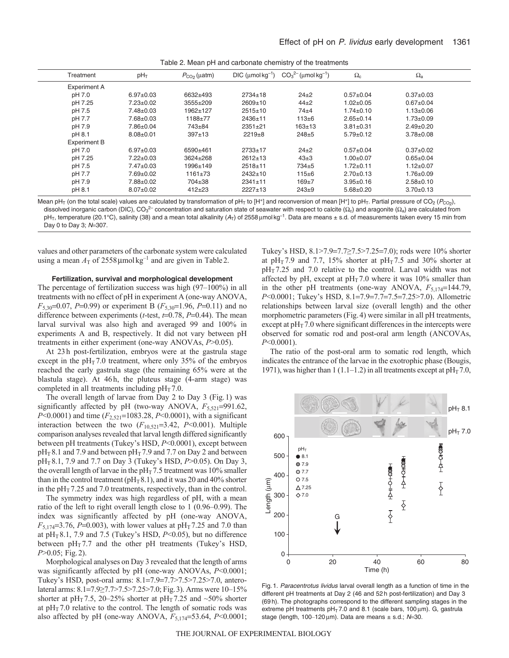| Treatment           | $pH_T$          | $P_{CO2}$ (µatm) | DIC ( $\mu$ mol kg <sup>-1</sup> ) | $CO32–$ (µmol kg <sup>-1</sup> ) | $\Omega_{\rm c}$ | $\Omega_{a}$    |  |
|---------------------|-----------------|------------------|------------------------------------|----------------------------------|------------------|-----------------|--|
| <b>Experiment A</b> |                 |                  |                                    |                                  |                  |                 |  |
| pH 7.0              | $6.97+0.03$     | 6632±493         | $2734 \pm 18$                      | $24+2$                           | $0.57 + 0.04$    | $0.37 + 0.03$   |  |
| pH 7.25             | $7.23 \pm 0.02$ | 3555±209         | $2609 \pm 10$                      | $44\pm2$                         | $1.02 \pm 0.05$  | $0.67 + 0.04$   |  |
| pH 7.5              | $7.48 \pm 0.03$ | 1962±127         | $2515 \pm 10$                      | $74\pm4$                         | $1.74 \pm 0.10$  | $1.13 \pm 0.06$ |  |
| pH 7.7              | $7.68 \pm 0.03$ | 1188±77          | 2436±11                            | $113 + 6$                        | $2.65 \pm 0.14$  | $1.73 \pm 0.09$ |  |
| pH 7.9              | 7.86±0.04       | 743±84           | $2351 \pm 21$                      | $163 + 13$                       | $3.81 \pm 0.31$  | $2.49 \pm 0.20$ |  |
| pH 8.1              | $8.08 \pm 0.01$ | $397+13$         | $2219+8$                           | $248 + 5$                        | $5.79 \pm 0.12$  | $3.78 \pm 0.08$ |  |
| <b>Experiment B</b> |                 |                  |                                    |                                  |                  |                 |  |
| pH 7.0              | $6.97+0.03$     | 6590±461         | $2733 \pm 17$                      | $24+2$                           | $0.57+0.04$      | $0.37 + 0.02$   |  |
| pH 7.25             | $7.22 \pm 0.03$ | $3624 + 268$     | $2612+13$                          | $43\pm3$                         | $1.00 + 0.07$    | $0.65 \pm 0.04$ |  |
| pH 7.5              | $7.47 \pm 0.03$ | 1996±149         | $2518+11$                          | $734 + 5$                        | $1.72 \pm 0.11$  | $1.12 \pm 0.07$ |  |
| pH 7.7              | $7.69 \pm 0.02$ | $1161 \pm 73$    | $2432 \pm 10$                      | $115 + 6$                        | $2.70+0.13$      | $1.76 \pm 0.09$ |  |
| pH 7.9              | $7.88 \pm 0.02$ | 704±38           | $2341 \pm 11$                      | $169 + 7$                        | $3.95 \pm 0.16$  | $2.58 \pm 0.10$ |  |
| pH 8.1              | $8.07 \pm 0.02$ | $412 + 23$       | $2227 \pm 13$                      | $243 + 9$                        | $5.68 \pm 0.20$  | $3.70 \pm 0.13$ |  |

Table 2. Mean pH and carbonate chemistry of the treatments

Mean pH<sub>T</sub> (on the total scale) values are calculated by transformation of pH<sub>T</sub> to [H<sup>+</sup>] and reconversion of mean [H<sup>+</sup>] to pH<sub>T</sub>. Partial pressure of CO<sub>2</sub> (P<sub>CO2</sub>), dissolved inorganic carbon (DIC), CO<sub>3</sub><sup>2-</sup> concentration and saturation state of seawater with respect to calcite ( $\Omega_c$ ) and aragonite ( $\Omega_a$ ) are calculated from pH<sub>T</sub>, temperature (20.1°C), salinity (38) and a mean total alkalinity (A<sub>T</sub>) of 2558  $\mu$ mol kg<sup>-1</sup>. Data are means ± s.d. of measurements taken every 15 min from Day 0 to Day 3; N=307.

values and other parameters of the carbonate system were calculated using a mean  $A_T$  of 2558 µmolkg<sup>-1</sup> and are given in Table 2.

### **Fertilization, survival and morphological development**

The percentage of fertilization success was high (97–100%) in all treatments with no effect of pH in experiment A (one-way ANOVA,  $F_{5,30}$ =0.07, *P*=0.99) or experiment B ( $F_{5,30}$ =1.96, *P*=0.11) and no difference between experiments (*t*-test,  $t=0.78$ ,  $P=0.44$ ). The mean larval survival was also high and averaged 99 and 100% in experiments A and B, respectively. It did not vary between pH treatments in either experiment (one-way ANOVAs, *P*>0.05).

At 23h post-fertilization, embryos were at the gastrula stage except in the  $pH<sub>T</sub>$ 7.0 treatment, where only 35% of the embryos reached the early gastrula stage (the remaining 65% were at the blastula stage). At 46h, the pluteus stage (4-arm stage) was completed in all treatments including  $pH<sub>T</sub>$  7.0.

The overall length of larvae from Day 2 to Day 3 (Fig.1) was significantly affected by pH (two-way ANOVA,  $F_{5,521}$ =991.62,  $P \le 0.0001$ ) and time ( $F_{2,521}$ =1083.28,  $P \le 0.0001$ ), with a significant interaction between the two  $(F_{10,521}=3.42, P<0.001)$ . Multiple comparison analyses revealed that larval length differed significantly between pH treatments (Tukey's HSD, *P*<0.0001), except between  $pH<sub>T</sub> 8.1$  and 7.9 and between  $pH<sub>T</sub> 7.9$  and 7.7 on Day 2 and between pHT 8.1, 7.9 and 7.7 on Day 3 (Tukey's HSD, *P*>0.05). On Day 3, the overall length of larvae in the  $pH<sub>T</sub>$  7.5 treatment was 10% smaller than in the control treatment ( $pH<sub>T</sub>8.1$ ), and it was 20 and 40% shorter in the  $pH_T$  7.25 and 7.0 treatments, respectively, than in the control.

The symmetry index was high regardless of pH, with a mean ratio of the left to right overall length close to 1 (0.96–0.99). The index was significantly affected by pH (one-way ANOVA,  $F_{5,174}$ =3.76, *P*=0.003), with lower values at pH<sub>T</sub> 7.25 and 7.0 than at  $pH_T 8.1$ , 7.9 and 7.5 (Tukey's HSD,  $P<0.05$ ), but no difference between  $pH_T$  7.7 and the other pH treatments (Tukey's HSD, *P*>0.05; Fig.2).

Morphological analyses on Day 3 revealed that the length of arms was significantly affected by pH (one-way ANOVAs, *P*<0.0001; Tukey's HSD, post-oral arms: 8.1=7.9=7.7>7.5>7.25>7.0, anterolateral arms: 8.1=7.9≥7.7>7.5>7.25>7.0; Fig. 3). Arms were 10–15% shorter at pH<sub>T</sub> 7.5, 20–25% shorter at pH<sub>T</sub> 7.25 and ~50% shorter at  $pH<sub>T</sub>$  7.0 relative to the control. The length of somatic rods was also affected by pH (one-way ANOVA,  $F_{5,174}$ =53.64, *P*<0.0001; Tukey's HSD,  $8.1 > 7.9 = 7.7 \ge 7.5 > 7.25 = 7.0$ ; rods were 10% shorter at pH<sub>T</sub> 7.9 and 7.7, 15% shorter at pH<sub>T</sub> 7.5 and 30% shorter at  $pH<sub>T</sub>$  7.25 and 7.0 relative to the control. Larval width was not affected by pH, except at  $pH<sub>T</sub>$  7.0 where it was 10% smaller than in the other pH treatments (one-way ANOVA,  $F_{5,174}$ =144.79, *P*<0.0001; Tukey's HSD, 8.1=7.9=7.7=7.5=7.25>7.0). Allometric relationships between larval size (overall length) and the other morphometric parameters (Fig.4) were similar in all pH treatments, except at  $pH_T$  7.0 where significant differences in the intercepts were observed for somatic rod and post-oral arm length (ANCOVAs, *P*<0.0001).

The ratio of the post-oral arm to somatic rod length, which indicates the entrance of the larvae in the exotrophic phase (Bougis, 1971), was higher than 1 (1.1–1.2) in all treatments except at  $pH<sub>T</sub>$ 7.0,



Fig. 1. Paracentrotus lividus larval overall length as a function of time in the different pH treatments at Day 2 (46 and 52 h post-fertilization) and Day 3 (69 h). The photographs correspond to the different sampling stages in the extreme pH treatments  $pH<sub>T</sub>$  7.0 and 8.1 (scale bars, 100  $\mu$ m). G, gastrula stage (length,  $100-120 \mu m$ ). Data are means  $\pm$  s.d.;  $N=30$ .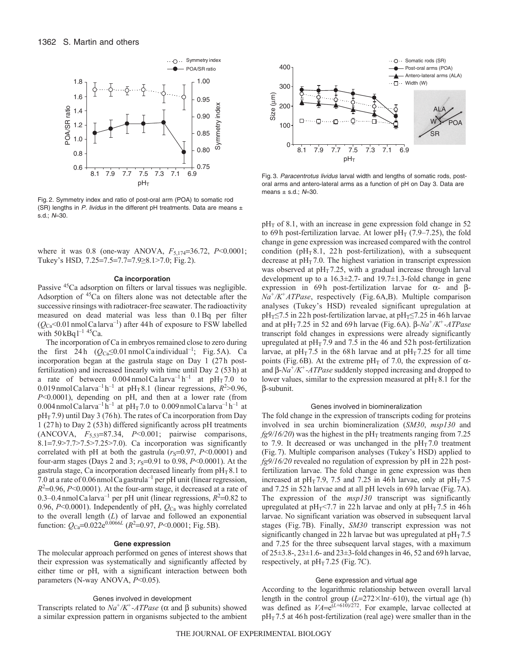

Fig. 2. Symmetry index and ratio of post-oral arm (POA) to somatic rod (SR) lengths in P. lividus in the different pH treatments. Data are means  $\pm$ s.d.; N=30.

where it was 0.8 (one-way ANOVA,  $F_{5,174}$ =36.72, *P*<0.0001; Tukey's HSD, 7.25=7.5=7.7=7.9≥8.1>7.0; Fig.2).

### **Ca incorporation**

Passive <sup>45</sup>Ca adsorption on filters or larval tissues was negligible. Adsorption of 45Ca on filters alone was not detectable after the successive rinsings with radiotracer-free seawater. The radioactivity measured on dead material was less than 0.1Bq per filter  $(Q_{Ca} < 0.01$  nmol Ca larva<sup>-1</sup>) after 44h of exposure to FSW labelled with  $50$  kBq  $l^{-1}$  <sup>45</sup>Ca.

The incorporation of Ca in embryos remained close to zero during the first 24 h  $(Q_{Ca} \le 0.01$  nmol Ca individual<sup>-1</sup>; Fig. 5A). Ca incorporation began at the gastrula stage on Day 1 (27h postfertilization) and increased linearly with time until Day 2 (53h) at a rate of between  $0.004$  nmol Ca larva<sup>-1</sup> h<sup>-1</sup> at pH<sub>T</sub>7.0 to 0.019 nmol Ca larva<sup>-1</sup> h<sup>-1</sup> at pH<sub>T</sub>8.1 (linear regressions,  $R^2 > 0.96$ , *P*<0.0001), depending on pH, and then at a lower rate (from 0.004 nmol Ca larva<sup>-1</sup> h<sup>-1</sup> at pH<sub>T</sub> 7.0 to 0.009 nmol Ca larva<sup>-1</sup> h<sup>-1</sup> at  $pH_T$  7.9) until Day 3 (76h). The rates of Ca incorporation from Day 1 (27h) to Day 2 (53h) differed significantly across pH treatments (ANCOVA,  $F_{5,53}=87.34$ ,  $P<0.001$ ; pairwise comparisons, 8.1=7.9>7.7>7.5>7.25>7.0). Ca incorporation was significantly correlated with pH at both the gastrula  $(r<sub>S</sub>=0.97, P<0.0001)$  and four-arm stages (Days 2 and 3;  $r_s$ =0.91 to 0.98, *P*<0.0001). At the gastrula stage, Ca incorporation decreased linearly from  $pH<sub>T</sub> 8.1$  to 7.0 at a rate of 0.06nmolCagastrula–1 per pH unit (linear regression,  $R<sup>2</sup>=0.96$ ,  $P<0.0001$ ). At the four-arm stage, it decreased at a rate of 0.3–0.4 nmol Ca larva<sup>-1</sup> per pH unit (linear regressions,  $R^2$ =0.82 to 0.96, *P*<0.0001). Independently of pH, *Q*Ca was highly correlated to the overall length (*L*) of larvae and followed an exponential function:  $Q_{Ca} = 0.022e^{0.0066L}$  ( $R^2 = 0.97$ ,  $P < 0.0001$ ; Fig.5B).

### **Gene expression**

The molecular approach performed on genes of interest shows that their expression was systematically and significantly affected by either time or pH, with a significant interaction between both parameters (N-way ANOVA, *P*<0.05).

### Genes involved in development

Transcripts related to  $Na^+/K^+$ -ATPase ( $\alpha$  and  $\beta$  subunits) showed a similar expression pattern in organisms subjected to the ambient



Fig. 3. Paracentrotus lividus larval width and lengths of somatic rods, postoral arms and antero-lateral arms as a function of pH on Day 3. Data are means  $\pm$  s.d.; N=30.

 $pH<sub>T</sub>$  of 8.1, with an increase in gene expression fold change in 52 to 69h post-fertilization larvae. At lower pH<sub>T</sub> (7.9–7.25), the fold change in gene expression was increased compared with the control condition ( $pH_T 8.1$ , 22h post-fertilization), with a subsequent decrease at  $pH<sub>T</sub>$  7.0. The highest variation in transcript expression was observed at  $pH<sub>T</sub>$  7.25, with a gradual increase through larval development up to a  $16.3 \pm 2.7$ - and  $19.7 \pm 1.3$ -fold change in gene expression in 69h post-fertilization larvae for  $\alpha$ - and  $\beta$ -*Na+/K+ATPase*, respectively (Fig. 6A,B). Multiple comparison analyses (Tukey's HSD) revealed significant upregulation at  $pH_T \le 7.5$  in 22 h post-fertilization larvae, at  $pH_T \le 7.25$  in 46 h larvae and at  $pH_T$  7.25 in 52 and 69h larvae (Fig. 6A).  $\beta$ -*Na<sup>+</sup>/K<sup>+</sup>-ATPase* transcript fold changes in expressions were already significantly upregulated at  $pH<sub>T</sub>$  7.9 and 7.5 in the 46 and 52h post-fertilization larvae, at  $pH_T$ 7.5 in the 68h larvae and at  $pH_T$ 7.25 for all time points (Fig. 6B). At the extreme pH<sub>T</sub> of 7.0, the expression of  $\alpha$ and  $\beta$ -*Na<sup>+</sup>/K<sup>+</sup>-ATPase* suddenly stopped increasing and dropped to lower values, similar to the expression measured at  $pH<sub>T</sub> 8.1$  for the *-*subunit.

### Genes involved in biomineralization

The fold change in the expression of transcripts coding for proteins involved in sea urchin biomineralization (*SM30*, *msp130* and  $f\text{g}9/16/20$ ) was the highest in the pH<sub>T</sub> treatments ranging from 7.25 to 7.9. It decreased or was unchanged in the  $pH<sub>T</sub>$  7.0 treatment (Fig.7). Multiple comparison analyses (Tukey's HSD) applied to *fg9/16/20* revealed no regulation of expression by pH in 22h postfertilization larvae. The fold change in gene expression was then increased at pH $_T$  7.9, 7.5 and 7.25 in 46h larvae, only at pH $_T$ 7.5 and 7.25 in 52h larvae and at all pH levels in 69h larvae (Fig.7A). The expression of the *msp130* transcript was significantly upregulated at  $pH_T$ <7.7 in 22h larvae and only at  $pH_T$ 7.5 in 46h larvae. No significant variation was observed in subsequent larval stages (Fig. 7B). Finally, *SM30* transcript expression was not significantly changed in 22h larvae but was upregulated at  $pH<sub>T</sub>$ 7.5 and 7.25 for the three subsequent larval stages, with a maximum of 25±3.8-, 23±1.6- and 23±3-fold changes in 46, 52 and 69h larvae, respectively, at  $pH_T$  7.25 (Fig. 7C).

#### Gene expression and virtual age

According to the logarithmic relationship between overall larval length in the control group  $(L=272\times Int-610)$ , the virtual age (h) was defined as  $VA = e^{(L+610)/272}$ . For example, larvae collected at  $pH<sub>T</sub>$  7.5 at 46h post-fertilization (real age) were smaller than in the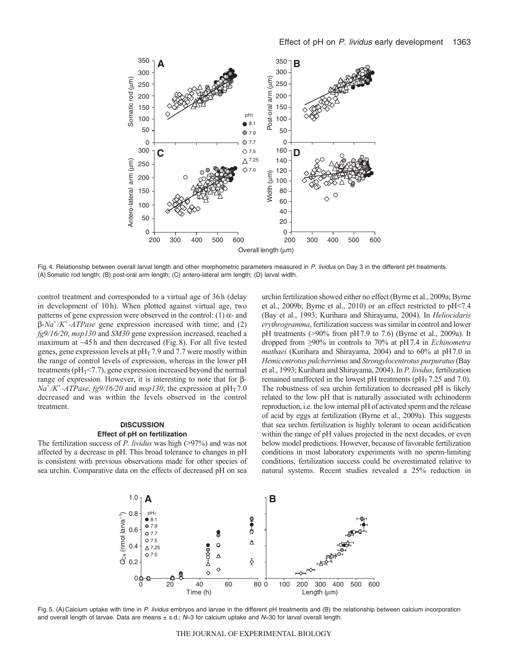

Fig. 4. Relationship between overall larval length and other morphometric parameters measured in P. lividus on Day 3 in the different pH treatments. (A)Somatic rod length; (B) post-oral arm length; (C) antero-lateral arm length; (D) larval width.

control treatment and corresponded to a virtual age of 36h (delay in development of 10h). When plotted against virtual age, two patterns of gene expression were observed in the control: (1)  $\alpha$ - and -*Na+/K+-ATPase* gene expression increased with time; and (2) *fg9/16/20*, *msp130* and *SM30* gene expression increased, reached a maximum at ~45h and then decreased (Fig.8). For all five tested genes, gene expression levels at  $pH<sub>T</sub>$  7.9 and 7.7 were mostly within the range of control levels of expression, whereas in the lower pH treatments ( $pH_T < 7.7$ ), gene expression increased beyond the normal range of expression. However, it is interesting to note that for  $\beta$ - $Na^+/K^+$ -*ATPase*, *fg9*/16/20 and *msp130*, the expression at pH<sub>T</sub>7.0 decreased and was within the levels observed in the control treatment.

# **DISCUSSION Effect of pH on fertilization**

The fertilization success of *P. lividus* was high (>97%) and was not affected by a decrease in pH. This broad tolerance to changes in pH is consistent with previous observations made for other species of sea urchin. Comparative data on the effects of decreased pH on sea urchin fertilization showed either no effect (Byrne et al., 2009a; Byrne et al., 2009b; Byrne et al., 2010) or an effect restricted to pH<7.4 (Bay et al., 1993; Kurihara and Shirayama, 2004). In *Heliocidaris erythrogramma*, fertilization success was similar in control and lower pH treatments (>90% from pH7.9 to 7.6) (Byrne et al., 2009a). It dropped from ≥90% in controls to 70% at pH7.4 in *Echinometra mathaei* (Kurihara and Shirayama, 2004) and to 60% at pH7.0 in *Hemicentrotus pulcherrimus* and *Strongylocentrotus purpuratus*(Bay et al., 1993; Kurihara and Shirayama, 2004). In *P. lividus*, fertilization remained unaffected in the lowest pH treatments ( $pH_T$  7.25 and 7.0). The robustness of sea urchin fertilization to decreased pH is likely related to the low pH that is naturally associated with echinoderm reproduction, i.e. the low internal pH of activated sperm and the release of acid by eggs at fertilization (Byrne et al., 2009a). This suggests that sea urchin fertilization is highly tolerant to ocean acidification within the range of pH values projected in the next decades, or even below model predictions. However, because of favorable fertilization conditions in most laboratory experiments with no sperm-limiting conditions, fertilization success could be overestimated relative to natural systems. Recent studies revealed a 25% reduction in



Fig. 5. (A) Calcium uptake with time in P. lividus embryos and larvae in the different pH treatments and (B) the relationship between calcium incorporation and overall length of larvae. Data are means  $\pm$  s.d.; N=3 for calcium uptake and N=30 for larval overall length.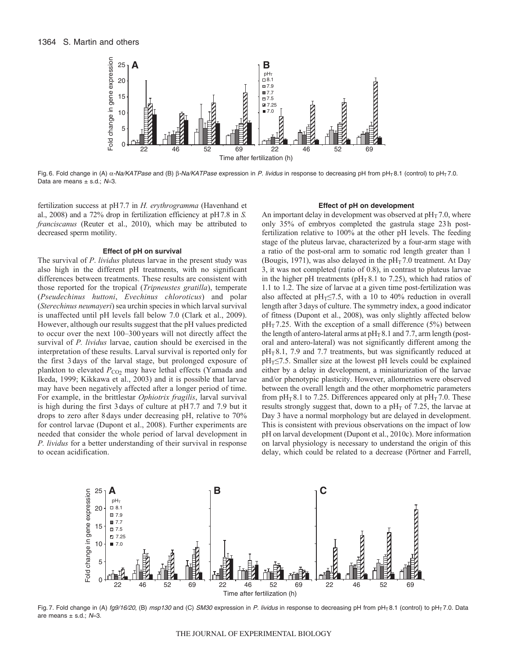

Fig. 6. Fold change in (A)  $\alpha$ -Na/KATPase and (B)  $\beta$ -Na/KATPase expression in P. lividus in response to decreasing pH from pH<sub>T</sub>8.1 (control) to pH<sub>T</sub>7.0. Data are means  $\pm$  s.d.;  $N=3$ .

fertilization success at pH7.7 in *H. erythrogramma* (Havenhand et al., 2008) and a 72% drop in fertilization efficiency at pH7.8 in *S. franciscanus* (Reuter et al., 2010), which may be attributed to decreased sperm motility.

#### **Effect of pH on survival**

The survival of *P*. *lividus* pluteus larvae in the present study was also high in the different pH treatments, with no significant differences between treatments. These results are consistent with those reported for the tropical (*Tripneustes gratilla*), temperate (*Pseudechinus huttoni*, *Evechinus chloroticus*) and polar (*Sterechinus neumayeri*) sea urchin species in which larval survival is unaffected until pH levels fall below 7.0 (Clark et al., 2009). However, although our results suggest that the pH values predicted to occur over the next 100–300 years will not directly affect the survival of *P. lividus* larvae, caution should be exercised in the interpretation of these results. Larval survival is reported only for the first 3 days of the larval stage, but prolonged exposure of plankton to elevated *P*<sub>CO2</sub> may have lethal effects (Yamada and Ikeda, 1999; Kikkawa et al., 2003) and it is possible that larvae may have been negatively affected after a longer period of time. For example, in the brittlestar *Ophiotrix fragilis*, larval survival is high during the first 3 days of culture at pH7.7 and 7.9 but it drops to zero after 8 days under decreasing pH, relative to 70% for control larvae (Dupont et al., 2008). Further experiments are needed that consider the whole period of larval development in *P. lividus* for a better understanding of their survival in response to ocean acidification.

### **Effect of pH on development**

An important delay in development was observed at  $pH<sub>T</sub>$  7.0, where only 35% of embryos completed the gastrula stage 23h postfertilization relative to 100% at the other pH levels. The feeding stage of the pluteus larvae, characterized by a four-arm stage with a ratio of the post-oral arm to somatic rod length greater than 1 (Bougis, 1971), was also delayed in the  $pH<sub>T</sub>$  7.0 treatment. At Day 3, it was not completed (ratio of 0.8), in contrast to pluteus larvae in the higher pH treatments ( $pH_T 8.1$  to 7.25), which had ratios of 1.1 to 1.2. The size of larvae at a given time post-fertilization was also affected at  $pH_T \le 7.5$ , with a 10 to 40% reduction in overall length after 3days of culture. The symmetry index, a good indicator of fitness (Dupont et al., 2008), was only slightly affected below  $pH<sub>T</sub>$  7.25. With the exception of a small difference (5%) between the length of antero-lateral arms at  $pH<sub>T</sub> 8.1$  and 7.7, arm length (postoral and antero-lateral) was not significantly different among the  $pH$ <sup>8.1</sup>, 7.9 and 7.7 treatments, but was significantly reduced at  $pH_T \le 7.5$ . Smaller size at the lowest pH levels could be explained either by a delay in development, a miniaturization of the larvae and/or phenotypic plasticity. However, allometries were observed between the overall length and the other morphometric parameters from  $pH_T 8.1$  to 7.25. Differences appeared only at  $pH_T 7.0$ . These results strongly suggest that, down to a  $pH<sub>T</sub>$  of 7.25, the larvae at Day 3 have a normal morphology but are delayed in development. This is consistent with previous observations on the impact of low pH on larval development (Dupont et al., 2010c). More information on larval physiology is necessary to understand the origin of this delay, which could be related to a decrease (Pörtner and Farrell,



Fig. 7. Fold change in (A)  $fg9/16/20$ , (B) msp130 and (C) SM30 expression in P. lividus in response to decreasing pH from pH<sub>T</sub> 8.1 (control) to pH<sub>T</sub> 7.0. Data are means  $\pm$  s.d.;  $N=3$ .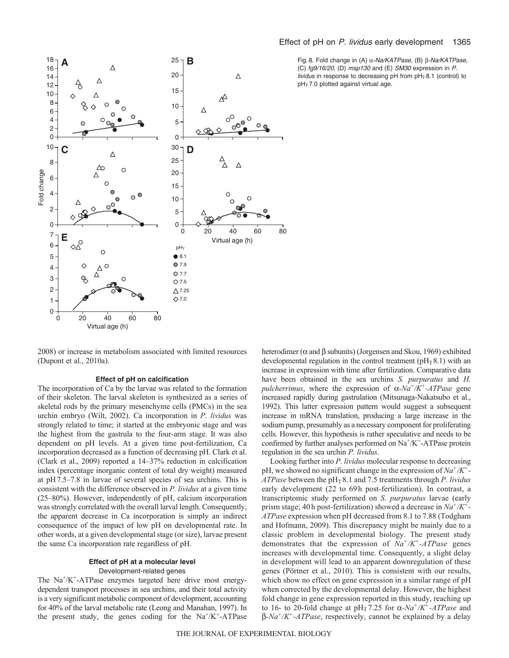

# Effect of pH on P. lividus early development 1365

Fig. 8. Fold change in (A)  $\alpha$ -Na/KATPase, (B)  $\beta$ -Na/KATPase, (C) fg9/16/20, (D) msp130 and (E) SM30 expression in P. lividus in response to decreasing pH from  $pH$ <sup> $T$ </sup>8.1 (control) to  $pH<sub>T</sub>$  7.0 plotted against virtual age.

2008) or increase in metabolism associated with limited resources (Dupont et al., 2010a).

### **Effect of pH on calcification**

The incorporation of Ca by the larvae was related to the formation of their skeleton. The larval skeleton is synthesized as a series of skeletal rods by the primary mesenchyme cells (PMCs) in the sea urchin embryo (Wilt, 2002). Ca incorporation in *P. lividus* was strongly related to time; it started at the embryonic stage and was the highest from the gastrula to the four-arm stage. It was also dependent on pH levels. At a given time post-fertilization, Ca incorporation decreased as a function of decreasing pH. Clark et al. (Clark et al., 2009) reported a 14–37% reduction in calcification index (percentage inorganic content of total dry weight) measured at pH7.5–7.8 in larvae of several species of sea urchins. This is consistent with the difference observed in *P. lividus* at a given time (25–80%). However, independently of pH, calcium incorporation was strongly correlated with the overall larval length. Consequently, the apparent decrease in Ca incorporation is simply an indirect consequence of the impact of low pH on developmental rate. In other words, at a given developmental stage (or size), larvae present the same Ca incorporation rate regardless of pH.

# **Effect of pH at a molecular level** Development-related genes

The Na<sup>+</sup>/K<sup>+</sup>-ATPase enzymes targeted here drive most energydependent transport processes in sea urchins, and their total activity is a very significant metabolic component of development, accounting for 40% of the larval metabolic rate (Leong and Manahan, 1997). In the present study, the genes coding for the  $Na^+/K^+$ -ATPase

heterodimer ( $\alpha$  and  $\beta$  subunits) (Jorgensen and Skou, 1969) exhibited developmental regulation in the control treatment ( $pH<sub>T</sub> 8.1$ ) with an increase in expression with time after fertilization. Comparative data have been obtained in the sea urchins *S. purpuratus* and *H. pulcherrimus*, where the expression of  $\alpha$ -Na<sup>+</sup>/K<sup>+</sup>-ATPase gene increased rapidly during gastrulation (Mitsunaga-Nakatsubo et al., 1992). This latter expression pattern would suggest a subsequent increase in mRNA translation, producing a large increase in the sodium pump, presumably as a necessary component for proliferating cells. However, this hypothesis is rather speculative and needs to be confirmed by further analyses performed on  $Na^+/K^+$ -ATPase protein regulation in the sea urchin *P. lividus*.

Looking further into *P. lividus* molecular response to decreasing pH, we showed no significant change in the expression of *Na+/K+-*  $ATPase$  between the  $pH<sub>T</sub> 8.1$  and 7.5 treatments through *P. lividus* early development (22 to 69h post-fertilization). In contrast, a transcriptomic study performed on *S. purpuratus* larvae (early prism stage; 40 h post-fertilization) showed a decrease in *Na+/K+- ATPase* expression when pH decreased from 8.1 to 7.88 (Todgham and Hofmann, 2009). This discrepancy might be mainly due to a classic problem in developmental biology. The present study demonstrates that the expression of *Na+/K+-ATPase* genes increases with developmental time. Consequently, a slight delay in development will lead to an apparent downregulation of these genes (Pörtner et al., 2010). This is consistent with our results, which show no effect on gene expression in a similar range of pH when corrected by the developmental delay. However, the highest fold change in gene expression reported in this study, reaching up to 16- to 20-fold change at  $pH_T$  7.25 for  $\alpha$ -Na<sup>+</sup>/K<sup>+</sup>-ATPase and *-Na+/K+-ATPase*, respectively, cannot be explained by a delay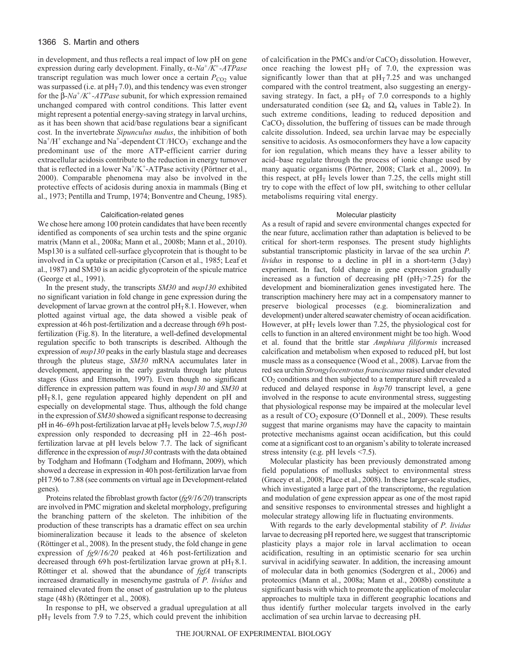# 1366 S. Martin and others

in development, and thus reflects a real impact of low pH on gene expression during early development. Finally, a*-Na+/K+-ATPase* transcript regulation was much lower once a certain  $P_{CO_2}$  value was surpassed (i.e. at  $pH<sub>T</sub>$  7.0), and this tendency was even stronger for the  $\beta$ -*Na<sup>+</sup>/K<sup>+</sup>-ATPase* subunit, for which expression remained unchanged compared with control conditions. This latter event might represent a potential energy-saving strategy in larval urchins, as it has been shown that acid/base regulations bear a significant cost. In the invertebrate *Sipunculus nudus*, the inhibition of both  $Na^{+}/H^{+}$  exchange and  $Na^{+}$ -dependent Cl<sup>-</sup>/HCO<sub>3</sub><sup>-</sup> exchange and the predominant use of the more ATP-efficient carrier during extracellular acidosis contribute to the reduction in energy turnover that is reflected in a lower  $Na^+/K^+$ -ATPase activity (Pörtner et al., 2000). Comparable phenomena may also be involved in the protective effects of acidosis during anoxia in mammals (Bing et al., 1973; Pentilla and Trump, 1974; Bonventre and Cheung, 1985).

# Calcification-related genes

We chose here among 100 protein candidates that have been recently identified as components of sea urchin tests and the spine organic matrix (Mann et al., 2008a; Mann et al., 2008b; Mann et al., 2010). Msp130 is a sulfated cell-surface glycoprotein that is thought to be involved in Ca uptake or precipitation (Carson et al., 1985; Leaf et al., 1987) and SM30 is an acidic glycoprotein of the spicule matrice (George et al., 1991).

In the present study, the transcripts *SM30* and *msp130* exhibited no significant variation in fold change in gene expression during the development of larvae grown at the control  $pH<sub>T</sub> 8.1$ . However, when plotted against virtual age, the data showed a visible peak of expression at 46h post-fertilization and a decrease through 69h postfertilization (Fig.8). In the literature, a well-defined developmental regulation specific to both transcripts is described. Although the expression of *msp130* peaks in the early blastula stage and decreases through the pluteus stage, *SM30* mRNA accumulates later in development, appearing in the early gastrula through late pluteus stages (Guss and Ettensohn, 1997). Even though no significant difference in expression pattern was found in *msp130* and *SM30* at  $pH<sub>T</sub> 8.1$ , gene regulation appeared highly dependent on  $pH$  and especially on developmental stage. Thus, although the fold change in the expression of *SM30* showed a significant response to decreasing pH in 46–69h post-fertilization larvae at pH<sub>T</sub> levels below 7.5, *msp130* expression only responded to decreasing pH in 22–46h postfertilization larvae at pH levels below 7.7. The lack of significant difference in the expression of *msp130* contrasts with the data obtained by Todgham and Hofmann (Todgham and Hofmann, 2009), which showed a decrease in expression in 40h post-fertilization larvae from pH7.96 to 7.88 (see comments on virtual age in Development-related genes).

Proteins related the fibroblast growth factor (*fg9/16/20*) transcripts are involved in PMC migration and skeletal morphology, prefiguring the branching pattern of the skeleton. The inhibition of the production of these transcripts has a dramatic effect on sea urchin biomineralization because it leads to the absence of skeleton (Röttinger et al., 2008). In the present study, the fold change in gene expression of *fg9/16/20* peaked at 46 h post-fertilization and decreased through 69h post-fertilization larvae grown at  $pH$ <sup>7</sup> $8.1$ . Röttinger et al. showed that the abundance of *fgfA* transcripts increased dramatically in mesenchyme gastrula of *P. lividus* and remained elevated from the onset of gastrulation up to the pluteus stage (48h) (Röttinger et al., 2008).

In response to pH, we observed a gradual upregulation at all  $pH_T$  levels from 7.9 to 7.25, which could prevent the inhibition of calcification in the PMCs and/or CaCO3 dissolution. However, once reaching the lowest  $pH_T$  of 7.0, the expression was significantly lower than that at  $pH<sub>T</sub>$  7.25 and was unchanged compared with the control treatment, also suggesting an energysaving strategy. In fact, a pH<sub>T</sub> of 7.0 corresponds to a highly undersaturated condition (see  $\Omega_c$  and  $\Omega_a$  values in Table 2). In such extreme conditions, leading to reduced deposition and  $CaCO<sub>3</sub>$  dissolution, the buffering of tissues can be made through calcite dissolution. Indeed, sea urchin larvae may be especially sensitive to acidosis. As osmoconformers they have a low capacity for ion regulation, which means they have a lesser ability to acid–base regulate through the process of ionic change used by many aquatic organisms (Pörtner, 2008; Clark et al., 2009). In this respect, at  $pH_T$  levels lower than 7.25, the cells might still try to cope with the effect of low pH, switching to other cellular metabolisms requiring vital energy.

### Molecular plasticity

As a result of rapid and severe environmental changes expected for the near future, acclimation rather than adaptation is believed to be critical for short-term responses. The present study highlights substantial transcriptomic plasticity in larvae of the sea urchin *P. lividus* in response to a decline in pH in a short-term (3day) experiment. In fact, fold change in gene expression gradually increased as a function of decreasing pH ( $pH_T$ >7.25) for the development and biomineralization genes investigated here. The transcription machinery here may act in a compensatory manner to preserve biological processes (e.g. biomineralization and development) under altered seawater chemistry of ocean acidification. However, at  $pH_T$  levels lower than 7.25, the physiological cost for cells to function in an altered environment might be too high. Wood et al. found that the brittle star *Amphiura filiformis* increased calcification and metabolism when exposed to reduced pH, but lost muscle mass as a consequence (Wood et al., 2008). Larvae from the red sea urchin *Strongylocentrotus franciscanus*raised under elevated  $CO<sub>2</sub>$  conditions and then subjected to a temperature shift revealed a reduced and delayed response in *hsp70* transcript level, a gene involved in the response to acute environmental stress, suggesting that physiological response may be impaired at the molecular level as a result of CO<sub>2</sub> exposure (O'Donnell et al., 2009). These results suggest that marine organisms may have the capacity to maintain protective mechanisms against ocean acidification, but this could come at a significant cost to an organism's ability to tolerate increased stress intensity (e.g. pH levels <7.5).

Molecular plasticity has been previously demonstrated among field populations of mollusks subject to environmental stress (Gracey et al., 2008; Place et al., 2008). In these larger-scale studies, which investigated a large part of the transcriptome, the regulation and modulation of gene expression appear as one of the most rapid and sensitive responses to environmental stresses and highlight a molecular strategy allowing life in fluctuating environments.

With regards to the early developmental stability of *P. lividus* larvae to decreasing pH reported here, we suggest that transcriptomic plasticity plays a major role in larval acclimation to ocean acidification, resulting in an optimistic scenario for sea urchin survival in acidifying seawater. In addition, the increasing amount of molecular data in both genomics (Sodergren et al., 2006) and proteomics (Mann et al., 2008a; Mann et al., 2008b) constitute a significant basis with which to promote the application of molecular approaches to multiple taxa in different geographic locations and thus identify further molecular targets involved in the early acclimation of sea urchin larvae to decreasing pH.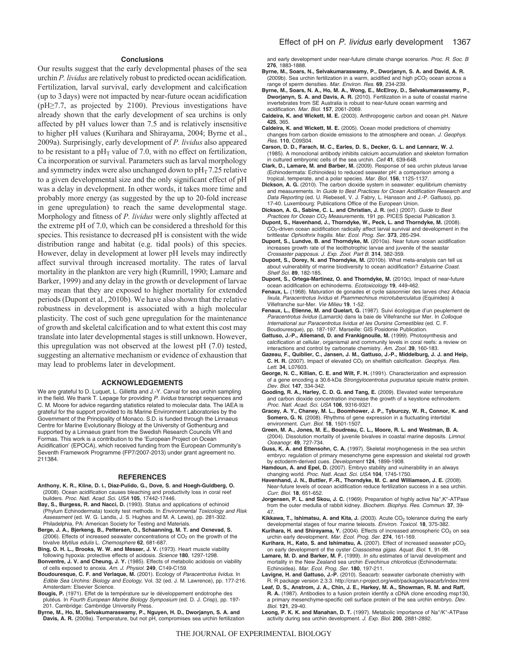### **Conclusions**

Our results suggest that the early developmental phases of the sea urchin *P. lividus* are relatively robust to predicted ocean acidification. Fertilization, larval survival, early development and calcification (up to 3days) were not impacted by near-future ocean acidification (pH≥7.7, as projected by 2100). Previous investigations have already shown that the early development of sea urchins is only affected by pH values lower than 7.5 and is relatively insensitive to higher pH values (Kurihara and Shirayama, 2004; Byrne et al., 2009a). Surprisingly, early development of *P. lividus* also appeared to be resistant to a pH<sub>T</sub> value of 7.0, with no effect on fertilization, Ca incorporation or survival. Parameters such as larval morphology and symmetry index were also unchanged down to  $pH<sub>T</sub>$  7.25 relative to a given developmental size and the only significant effect of pH was a delay in development. In other words, it takes more time and probably more energy (as suggested by the up to 20-fold increase in gene upregulation) to reach the same developmental stage. Morphology and fitness of *P. lividus* were only slightly affected at the extreme pH of 7.0, which can be considered a threshold for this species. This resistance to decreased pH is consistent with the wide distribution range and habitat (e.g. tidal pools) of this species. However, delay in development at lower pH levels may indirectly affect survival through increased mortality. The rates of larval mortality in the plankton are very high (Rumrill, 1990; Lamare and Barker, 1999) and any delay in the growth or development of larvae may mean that they are exposed to higher mortality for extended periods (Dupont et al., 2010b). We have also shown that the relative robustness in development is associated with a high molecular plasticity. The cost of such gene upregulation for the maintenance of growth and skeletal calcification and to what extent this cost may translate into later developmental stages is still unknown. However, this upregulation was not observed at the lowest pH (7.0) tested, suggesting an alternative mechanism or evidence of exhaustion that may lead to problems later in development.

#### **ACKNOWLEDGEMENTS**

We are grateful to D. Luquet, L. Gilletta and J.-Y. Carval for sea urchin sampling in the field. We thank T. Lepage for providing P. lividus transcript sequences and C. M. Moore for advice regarding statistics related to molecular data. The IAEA is grateful for the support provided to its Marine Environment Laboratories by the Government of the Principality of Monaco. S.D. is funded through the Linnaeus Centre for Marine Evolutionary Biology at the University of Gothenburg and supported by a Linnaeus grant from the Swedish Research Councils VR and Formas. This work is a contribution to the 'European Project on Ocean Acidification' (EPOCA), which received funding from the European Community's Seventh Framework Programme (FP7/2007-2013) under grant agreement no. 211384.

#### **REFERENCES**

- **Anthony, K. R., Kline, D. I., Diaz-Pulido, G., Dove, S. and Hoegh-Guldberg, O.** (2008). Ocean acidification causes bleaching and productivity loss in coral reef builders. Proc. Natl. Acad. Sci. USA **105**, 17442-17446.
- **Bay, S., Burgess, R. and Nacci, D.** (1993). Status and applications of echinoid (Phylum Echinodermata) toxicity test methods. In Environmental Toxicology and Risk .<br>Assessment (ed. W. G. Landis, J. S. Hughes and M. A. Lewis), pp. 281-302. Philadelphia, PA: American Society for Testing and Materials.
- **Berge, J. A., Bjerkeng, B., Pettersen, O., Schaanning, M. T. and Oxnevad, S.** (2006). Effects of increased seawater concentrations of  $CO<sub>2</sub>$  on the growth of the bivalve Mytilus edulis L. Chemosphere **62**, 681-687.
- **Bing, O. H. L., Brooks, W. W. and Messer, J. V.** (1973). Heart muscle viability following hypoxia: protective effects of acidosis. Science **180**, 1297-1298.
- **Bonventre, J. V. and Cheung, J. Y.** (1985). Effects of metabolic acidosis on viability of cells exposed to anoxia. Am. J. Physiol. **249**, C149-C159.
- **Boudouresque, C. F. and Verlaque, M.** (2001). Ecology of Paracentrotus lividus. In Edible Sea Urchins: Biology and Ecology, Vol. 32 (ed. J. M. Lawrence), pp. 177-216. Amsterdam: Elsevier Science.
- **Bougis, P.** (1971). Effet de la température sur le développement endotrophe des plutéus. In Fourth European Marine Biology Symposium (ed. D. J. Crisp), pp. 197- 201. Cambridge: Cambridge University Press.
- **Byrne, M., Ho, M., Selvakumaraswamy, P., Nguyen, H. D., Dworjanyn, S. A. and Davis, A. R.** (2009a). Temperature, but not pH, compromises sea urchin fertilization

and early development under near-future climate change scenarios. Proc. R. Soc. B **276**, 1883-1888.

- **Byrne, M., Soars, N., Selvakumaraswamy, P., Dworjanyn, S. A. and David, A. R.** (2009b). Sea urchin fertilization in a warm, acidified and high  $pCO<sub>2</sub>$  ocean across a range of sperm densities. Mar. Environ. Res. **69**, 234-239.
- **Byrne, M., Soars, N. A., Ho, M. A., Wong, E., McElroy, D., Selvakumaraswamy, P., Dworjanyn, S. A. and Davis, A. R.** (2010). Fertilization in a suite of coastal marine invertebrates from SE Australia is robust to near-future ocean warming and acidification. Mar. Biol. **157**, 2061-2069.
- **Caldeira, K. and Wickett, M. E.** (2003). Anthropogenic carbon and ocean pH. Nature **425**, 365.
- **Caldeira, K. and Wickett, M. E.** (2005). Ocean model predictions of chemistry changes from carbon dioxide emissions to the atmosphere and ocean. J. Geophys. Res. **110**, C09S04.
- **Carson, D. D., Farach, M. C., Earles, D. S., Decker, G. L. and Lennarz, W. J.** (1985). A monoclonal antibody inhibits calcium accumulation and skeleton formation in cultured embryonic cells of the sea urchin. Cell **41**, 639-648.
- **Clark, D., Lamare, M. and Barber, M.** (2009). Response of sea urchin pluteus larvae (Echinodermata: Echinoidea) to reduced seawater pH: a comparison among a tropical, temperate, and a polar species. Mar. Biol. **156**, 1125-1137.
- **Dickson, A. G.** (2010). The carbon dioxide system in seawater: equilibrium chemistry and measurements. In Guide to Best Practices for Ocean Acidification Research and Data Reporting (ed. U. Riebesell, V. J. Fabry, L. Hansson and J.-P. Gattuso), pp. 17-40. Luxembourg: Publications Office of the European Union.
- **Dickson, A. G., Sabine, C. L. and Christian, J. R.** (ed.) (2007). Guide to Best Practices for Ocean CO<sub>2</sub> Measurements, 191 pp. PICES Special Publication 3.
- **Dupont, S., Havenhand, J., Thorndyke, W., Peck, L. and Thorndyke, M.** (2008).  $CO<sub>2</sub>$ -driven ocean acidification radically affect larval survival and development in the brittlestar Ophiothrix fragilis. Mar. Ecol. Prog. Ser. **373**, 285-294.
- **Dupont, S., Lundve, B. and Thorndyke, M.** (2010a). Near future ocean acidification increases growth rate of the lecithotrophic larvae and juvenile of the seastar Crossaster papposus. J. Exp. Zool. Part B. **314**, 382-359.
- **Dupont, S., Dorey, N. and Thorndyke, M.** (2010b). What meta-analysis can tell us about vulnerability of marine biodiversity to ocean acidification? Estuarine Coast. Shelf Sci. **89**, 182-185.
- **Dupont, S., Ortega-Martinez, O. and Thorndyke, M.** (2010c). Impact of near-future ocean acidification on echinoderms. Ecotoxicology **19**, 449-462.
- Fenaux, L. (1968). Maturation de gonades et cycle saisonnier des larves chez Arbacia lixula, Paracentrotus lividus et Psammechinus microtuberculatus (Equinides) à Villefranche sur-Mer. Vie Milieu **19**, 1-52.
- **Fenaux, L., Etienne, M. and Quelart, G.** (1987). Suivi écologique d'un peuplement de Paracentrotus lividus (Lamarck) dans la baie de Villefranche sur Mer. In Colloque International sur Paracentrotus lividus et les Oursins Comestibles (ed. C. F. Boudouresque), pp. 187-197. Marseille: GIS Posidonie Publication.
- **Gattuso, J.-P., Allemand, D. and Frankignoulle, M.** (1999). Photosynthesis and calcification at cellular, organismal and community levels in coral reefs: a review on interactions and control by carbonate chemistry. Am. Zool. **39**, 160-183.
- **Gazeau, F., Quiblier, C., Jansen, J. M., Gattuso, J.-P., Middelburg, J. J. and Heip, C. H. R.** (2007). Impact of elevated CO<sub>2</sub> on shellfish calcification. Geophys. Res. Lett. **34**, L07603.
- **George, N. C., Killian, C. E. and Wilt, F. H.** (1991). Characterization and expression of a gene encoding a 30.6-kDa Strongylocentrotus purpuratus spicule matrix protein. Dev. Biol. **147**, 334-342.
- **Gooding, R. A., Harley, C. D. G. and Tang, E.** (2009). Elevated water temperature and carbon dioxide concentration increase the growth of a keystone echinoderm. Proc. Natl. Acad. Sci. USA **106**, 9316-9321.
- **Gracey, A. Y., Chaney, M. L., Boomhower, J. P., Tyburczy, W. R., Connor, K. and Somero, G. N.** (2008). Rhythms of gene expression in a fluctuating intertidal environment. Curr. Biol. **18**, 1501-1507.
- **Green, M. A., Jones, M. E., Boudreau, C. L., Moore, R. L. and Westman, B. A.** (2004). Dissolution mortality of juvenile bivalves in coastal marine deposits. Limnol. Oceanogr. **49**, 727-734.
- **Guss, K. A. and Ettensohn, C. A.** (1997). Skeletal morphogenesis in the sea urchin embryo: regulation of primary mesenchyme gene expression and skeletal rod growth by ectoderm-derived cues. Development **124**, 1899-1908.
- **Hamdoun, A. and Epel, D.** (2007). Embryo stability and vulnerability in an always changing world. Proc. Natl. Acad. Sci. USA **104**, 1745-1750.
- **Havenhand, J. N., Buttler, F.-R., Thorndyke, M. C. and Williamson, J. E.** (2008). Near-future levels of ocean acidification reduce fertilization success in a sea urchin. Curr. Biol. **18**, 651-652.
- **Jorgensen, P. L. and Skou, J. C.** (1969). Preparation of highly active Na<sup>+</sup>,K<sup>+</sup>-ATPase from the outer medulla of rabbit kidney. Biochem. Biophys. Res. Commun. **37**, 39- 47.
- **Kikkawa, T., Ishimatsu, A. and Kita, J.** (2003). Acute CO<sub>2</sub> tolerance during the early developmental stages of four marine teleosts. Environ. Toxicol. **18**, 375-382.
- Kurihara, H. and Shirayama, Y. (2004). Effects of increased atmospheric CO<sub>2</sub> on sea urchin early development. Mar. Ecol. Prog. Ser. **274**, 161-169.
- **Kurihara, H., Kato, S. and Ishimatsu, A.** (2007). Effect of increased seawater pCO<sub>2</sub> on early development of the oyster Crassostrea gigas. Aquat. Biol. **1**, 91-98.
- **Lamare, M. D. and Barker, M. F.** (1999). In situ estimates of larval development and mortality in the New Zealand sea urchin Evechinus chloroticus (Echinodermata: Echinoidea). Mar. Ecol. Prog. Ser. **180**, 197-211.
- **Lavigne, H. and Gattuso, J.-P.** (2010). Seacarb: seawater carbonate chemistry with R. R package version 2.3.3. http://cran.r-project.org/web/packages/seacarb/index.html
- **Leaf, D. S., Anstrom, J. A., Chin, J. E., Harkey, M. A., Showman, R. M. and Raff, R. A.** (1987). Antibodies to a fusion protein identify a cDNA clone encoding msp130, a primary mesenchyme-specific cell surface protein of the sea urchin embryo. Dev. Biol. **121**, 29-40.
- **Leong, P. K. K. and Manahan, D. T.** (1997). Metabolic importance of Na<sup>+</sup>/K<sup>+</sup>-ATPase activity during sea urchin development. J. Exp. Biol. **200**, 2881-2892.